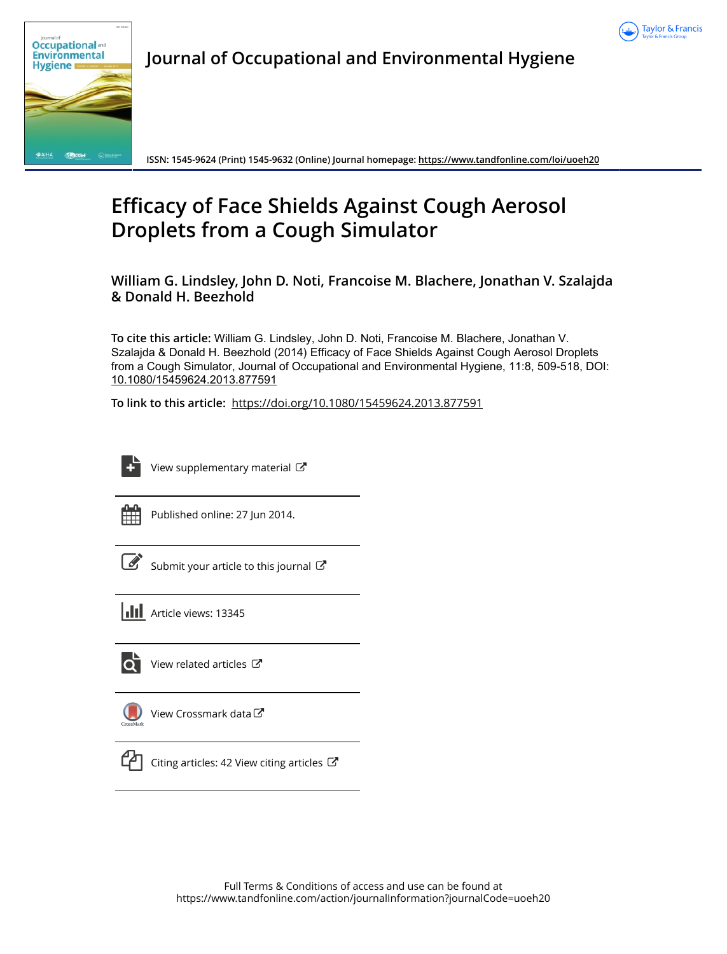



**Journal of Occupational and Environmental Hygiene**

**ISSN: 1545-9624 (Print) 1545-9632 (Online) Journal homepage:<https://www.tandfonline.com/loi/uoeh20>**

# **Efficacy of Face Shields Against Cough Aerosol Droplets from a Cough Simulator**

**William G. Lindsley, John D. Noti, Francoise M. Blachere, Jonathan V. Szalajda & Donald H. Beezhold**

**To cite this article:** William G. Lindsley, John D. Noti, Francoise M. Blachere, Jonathan V. Szalajda & Donald H. Beezhold (2014) Efficacy of Face Shields Against Cough Aerosol Droplets from a Cough Simulator, Journal of Occupational and Environmental Hygiene, 11:8, 509-518, DOI: [10.1080/15459624.2013.877591](https://www.tandfonline.com/action/showCitFormats?doi=10.1080/15459624.2013.877591)

**To link to this article:** <https://doi.org/10.1080/15459624.2013.877591>

| _____ |
|-------|
|       |
|       |
| -     |
|       |

[View supplementary material](https://www.tandfonline.com/doi/suppl/10.1080/15459624.2013.877591) C



Published online: 27 Jun 2014.

|--|

[Submit your article to this journal](https://www.tandfonline.com/action/authorSubmission?journalCode=uoeh20&show=instructions)  $\mathbb{Z}$ 



**III** Article views: 13345



[View related articles](https://www.tandfonline.com/doi/mlt/10.1080/15459624.2013.877591)  $\mathbb{Z}$ 



[View Crossmark data](http://crossmark.crossref.org/dialog/?doi=10.1080/15459624.2013.877591&domain=pdf&date_stamp=2014-01-27)



 $\mathbb{C}$  [Citing articles: 42 View citing articles](https://www.tandfonline.com/doi/citedby/10.1080/15459624.2013.877591#tabModule)  $\mathbb{C}$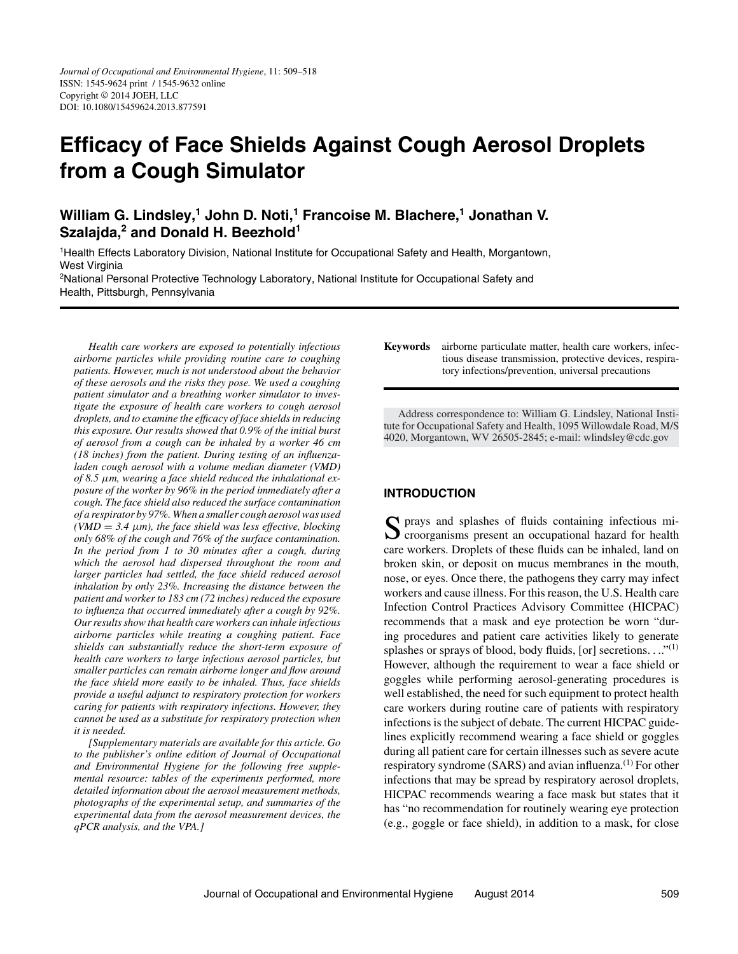## **Efficacy of Face Shields Against Cough Aerosol Droplets from a Cough Simulator**

## **William G. Lindsley,1 John D. Noti,1 Francoise M. Blachere,<sup>1</sup> Jonathan V. Szalajda,2 and Donald H. Beezhold<sup>1</sup>**

1Health Effects Laboratory Division, National Institute for Occupational Safety and Health, Morgantown, West Virginia

2National Personal Protective Technology Laboratory, National Institute for Occupational Safety and Health, Pittsburgh, Pennsylvania

*Health care workers are exposed to potentially infectious airborne particles while providing routine care to coughing patients. However, much is not understood about the behavior of these aerosols and the risks they pose. We used a coughing patient simulator and a breathing worker simulator to investigate the exposure of health care workers to cough aerosol droplets, and to examine the efficacy of face shields in reducing this exposure. Our results showed that 0.9% of the initial burst of aerosol from a cough can be inhaled by a worker 46 cm (18 inches) from the patient. During testing of an influenzaladen cough aerosol with a volume median diameter (VMD) of 8.5* μ*m, wearing a face shield reduced the inhalational exposure of the worker by 96% in the period immediately after a cough. The face shield also reduced the surface contamination of a respirator by 97%. When a smaller cough aerosol was used*  $(VMD = 3.4 \mu m)$ , the face shield was less effective, blocking *only 68% of the cough and 76% of the surface contamination. In the period from 1 to 30 minutes after a cough, during which the aerosol had dispersed throughout the room and larger particles had settled, the face shield reduced aerosol inhalation by only 23%. Increasing the distance between the patient and worker to 183 cm (72 inches) reduced the exposure to influenza that occurred immediately after a cough by 92%. Our results show that health care workers can inhale infectious airborne particles while treating a coughing patient. Face shields can substantially reduce the short-term exposure of health care workers to large infectious aerosol particles, but smaller particles can remain airborne longer and flow around the face shield more easily to be inhaled. Thus, face shields provide a useful adjunct to respiratory protection for workers caring for patients with respiratory infections. However, they cannot be used as a substitute for respiratory protection when it is needed.*

*[Supplementary materials are available for this article. Go to the publisher's online edition of Journal of Occupational and Environmental Hygiene for the following free supplemental resource: tables of the experiments performed, more detailed information about the aerosol measurement methods, photographs of the experimental setup, and summaries of the experimental data from the aerosol measurement devices, the qPCR analysis, and the VPA.]*

**Keywords** airborne particulate matter, health care workers, infectious disease transmission, protective devices, respiratory infections/prevention, universal precautions

Address correspondence to: William G. Lindsley, National Institute for Occupational Safety and Health, 1095 Willowdale Road, M/S 4020, Morgantown, WV 26505-2845; e-mail: wlindsley@cdc.gov

## **INTRODUCTION**

 $\Gamma$  prays and splashes of fluids containing infectious mi- $\bigcup$  croorganisms present an occupational hazard for health care workers. Droplets of these fluids can be inhaled, land on broken skin, or deposit on mucus membranes in the mouth, nose, or eyes. Once there, the pathogens they carry may infect workers and cause illness. For this reason, the U.S. Health care Infection Control Practices Advisory Committee (HICPAC) recommends that a mask and eye protection be worn "during procedures and patient care activities likely to generate splashes or sprays of blood, body fluids, [or] secretions...."<sup>(1)</sup> However, although the requirement to wear a face shield or goggles while performing aerosol-generating procedures is well established, the need for such equipment to protect health care workers during routine care of patients with respiratory infections is the subject of debate. The current HICPAC guidelines explicitly recommend wearing a face shield or goggles during all patient care for certain illnesses such as severe acute respiratory syndrome (SARS) and avian influenza.<sup>(1)</sup> For other infections that may be spread by respiratory aerosol droplets, HICPAC recommends wearing a face mask but states that it has "no recommendation for routinely wearing eye protection (e.g., goggle or face shield), in addition to a mask, for close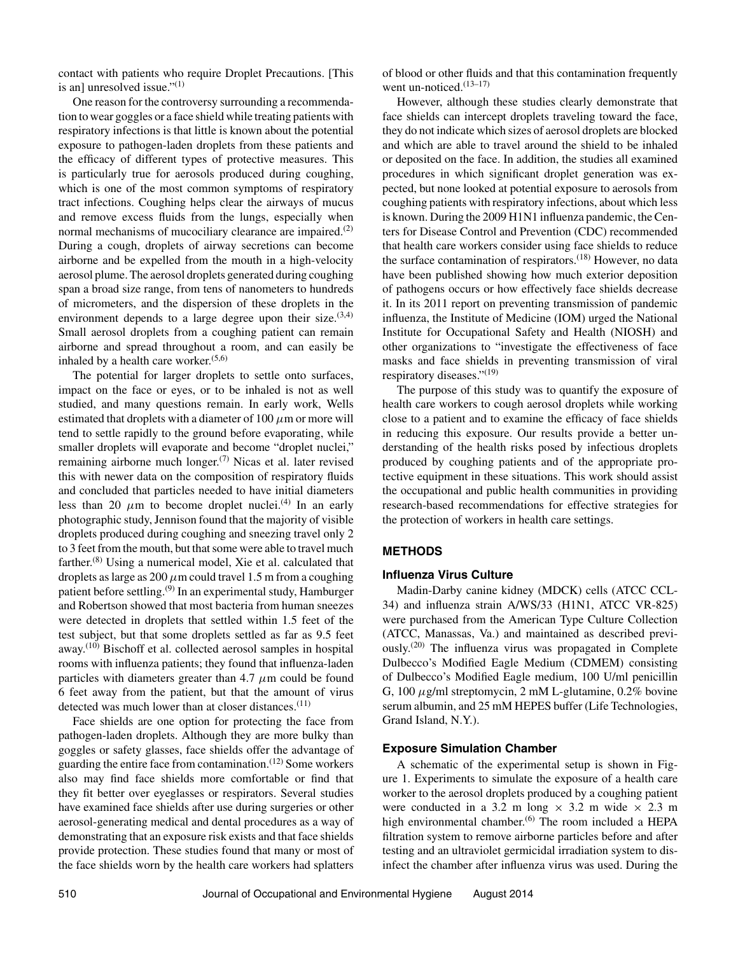contact with patients who require Droplet Precautions. [This is an] unresolved issue." $^{(1)}$ 

One reason for the controversy surrounding a recommendation to wear goggles or a face shield while treating patients with respiratory infections is that little is known about the potential exposure to pathogen-laden droplets from these patients and the efficacy of different types of protective measures. This is particularly true for aerosols produced during coughing, which is one of the most common symptoms of respiratory tract infections. Coughing helps clear the airways of mucus and remove excess fluids from the lungs, especially when normal mechanisms of mucociliary clearance are impaired.<sup>(2)</sup> During a cough, droplets of airway secretions can become airborne and be expelled from the mouth in a high-velocity aerosol plume. The aerosol droplets generated during coughing span a broad size range, from tens of nanometers to hundreds of micrometers, and the dispersion of these droplets in the environment depends to a large degree upon their size.  $(3,4)$ Small aerosol droplets from a coughing patient can remain airborne and spread throughout a room, and can easily be inhaled by a health care worker. $(5,6)$ 

The potential for larger droplets to settle onto surfaces, impact on the face or eyes, or to be inhaled is not as well studied, and many questions remain. In early work, Wells estimated that droplets with a diameter of  $100 \mu$ m or more will tend to settle rapidly to the ground before evaporating, while smaller droplets will evaporate and become "droplet nuclei," remaining airborne much longer.<sup>(7)</sup> Nicas et al. later revised this with newer data on the composition of respiratory fluids and concluded that particles needed to have initial diameters less than 20  $\mu$ m to become droplet nuclei.<sup>(4)</sup> In an early photographic study, Jennison found that the majority of visible droplets produced during coughing and sneezing travel only 2 to 3 feet from the mouth, but that some were able to travel much farther.(8) Using a numerical model, Xie et al. calculated that droplets as large as 200  $\mu$ m could travel 1.5 m from a coughing patient before settling.(9) In an experimental study, Hamburger and Robertson showed that most bacteria from human sneezes were detected in droplets that settled within 1.5 feet of the test subject, but that some droplets settled as far as 9.5 feet away.(10) Bischoff et al. collected aerosol samples in hospital rooms with influenza patients; they found that influenza-laden particles with diameters greater than 4.7  $\mu$ m could be found 6 feet away from the patient, but that the amount of virus detected was much lower than at closer distances.<sup>(11)</sup>

Face shields are one option for protecting the face from pathogen-laden droplets. Although they are more bulky than goggles or safety glasses, face shields offer the advantage of guarding the entire face from contamination. $(12)$  Some workers also may find face shields more comfortable or find that they fit better over eyeglasses or respirators. Several studies have examined face shields after use during surgeries or other aerosol-generating medical and dental procedures as a way of demonstrating that an exposure risk exists and that face shields provide protection. These studies found that many or most of the face shields worn by the health care workers had splatters of blood or other fluids and that this contamination frequently went un-noticed.<sup>(13-17)</sup>

However, although these studies clearly demonstrate that face shields can intercept droplets traveling toward the face, they do not indicate which sizes of aerosol droplets are blocked and which are able to travel around the shield to be inhaled or deposited on the face. In addition, the studies all examined procedures in which significant droplet generation was expected, but none looked at potential exposure to aerosols from coughing patients with respiratory infections, about which less is known. During the 2009 H1N1 influenza pandemic, the Centers for Disease Control and Prevention (CDC) recommended that health care workers consider using face shields to reduce the surface contamination of respirators.<sup>(18)</sup> However, no data have been published showing how much exterior deposition of pathogens occurs or how effectively face shields decrease it. In its 2011 report on preventing transmission of pandemic influenza, the Institute of Medicine (IOM) urged the National Institute for Occupational Safety and Health (NIOSH) and other organizations to "investigate the effectiveness of face masks and face shields in preventing transmission of viral respiratory diseases."(19)

The purpose of this study was to quantify the exposure of health care workers to cough aerosol droplets while working close to a patient and to examine the efficacy of face shields in reducing this exposure. Our results provide a better understanding of the health risks posed by infectious droplets produced by coughing patients and of the appropriate protective equipment in these situations. This work should assist the occupational and public health communities in providing research-based recommendations for effective strategies for the protection of workers in health care settings.

## **METHODS**

#### **Influenza Virus Culture**

Madin-Darby canine kidney (MDCK) cells (ATCC CCL-34) and influenza strain A/WS/33 (H1N1, ATCC VR-825) were purchased from the American Type Culture Collection (ATCC, Manassas, Va.) and maintained as described previously.(20) The influenza virus was propagated in Complete Dulbecco's Modified Eagle Medium (CDMEM) consisting of Dulbecco's Modified Eagle medium, 100 U/ml penicillin G, 100  $\mu$ g/ml streptomycin, 2 mM L-glutamine, 0.2% bovine serum albumin, and 25 mM HEPES buffer (Life Technologies, Grand Island, N.Y.).

#### **Exposure Simulation Chamber**

A schematic of the experimental setup is shown in Figure 1. Experiments to simulate the exposure of a health care worker to the aerosol droplets produced by a coughing patient were conducted in a 3.2 m long  $\times$  3.2 m wide  $\times$  2.3 m high environmental chamber.<sup>(6)</sup> The room included a HEPA filtration system to remove airborne particles before and after testing and an ultraviolet germicidal irradiation system to disinfect the chamber after influenza virus was used. During the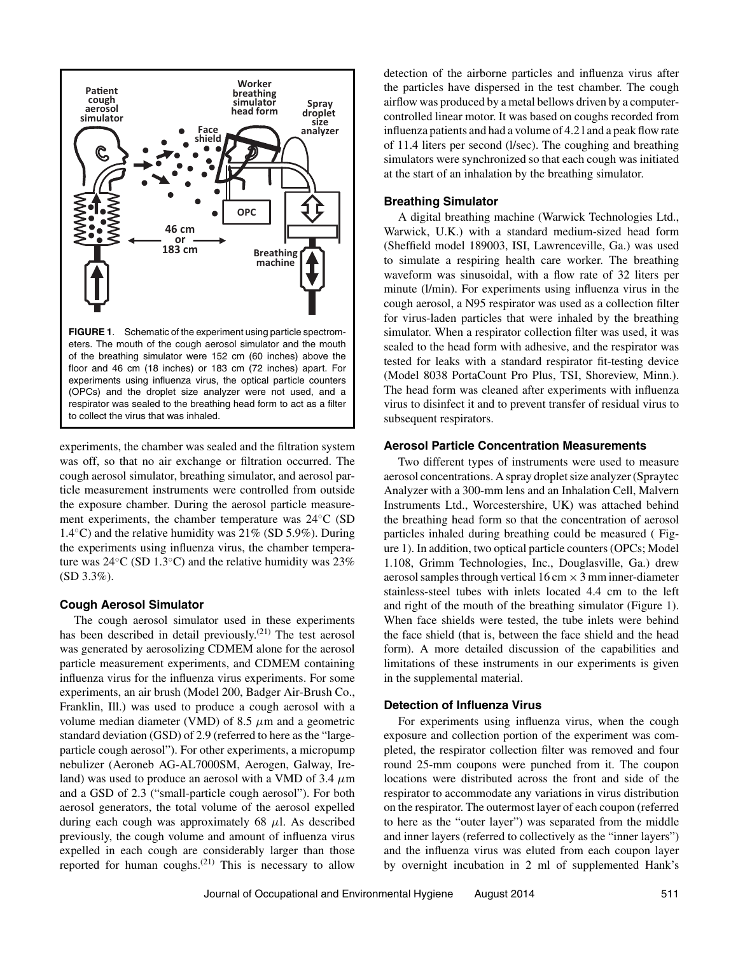

**FIGURE 1**. Schematic of the experiment using particle spectrometers. The mouth of the cough aerosol simulator and the mouth of the breathing simulator were 152 cm (60 inches) above the floor and 46 cm (18 inches) or 183 cm (72 inches) apart. For experiments using influenza virus, the optical particle counters (OPCs) and the droplet size analyzer were not used, and a respirator was sealed to the breathing head form to act as a filter to collect the virus that was inhaled.

experiments, the chamber was sealed and the filtration system was off, so that no air exchange or filtration occurred. The cough aerosol simulator, breathing simulator, and aerosol particle measurement instruments were controlled from outside the exposure chamber. During the aerosol particle measurement experiments, the chamber temperature was 24◦C (SD 1.4◦C) and the relative humidity was 21% (SD 5.9%). During the experiments using influenza virus, the chamber temperature was  $24\degree$ C (SD 1.3 $\degree$ C) and the relative humidity was 23% (SD 3.3%).

#### **Cough Aerosol Simulator**

The cough aerosol simulator used in these experiments has been described in detail previously.<sup>(21)</sup> The test aerosol was generated by aerosolizing CDMEM alone for the aerosol particle measurement experiments, and CDMEM containing influenza virus for the influenza virus experiments. For some experiments, an air brush (Model 200, Badger Air-Brush Co., Franklin, Ill.) was used to produce a cough aerosol with a volume median diameter (VMD) of 8.5  $\mu$ m and a geometric standard deviation (GSD) of 2.9 (referred to here as the "largeparticle cough aerosol"). For other experiments, a micropump nebulizer (Aeroneb AG-AL7000SM, Aerogen, Galway, Ireland) was used to produce an aerosol with a VMD of 3.4  $\mu$ m and a GSD of 2.3 ("small-particle cough aerosol"). For both aerosol generators, the total volume of the aerosol expelled during each cough was approximately 68  $\mu$ l. As described previously, the cough volume and amount of influenza virus expelled in each cough are considerably larger than those reported for human coughs. $(21)$  This is necessary to allow detection of the airborne particles and influenza virus after the particles have dispersed in the test chamber. The cough airflow was produced by a metal bellows driven by a computercontrolled linear motor. It was based on coughs recorded from influenza patients and had a volume of 4.2 l and a peak flow rate of 11.4 liters per second (l/sec). The coughing and breathing simulators were synchronized so that each cough was initiated at the start of an inhalation by the breathing simulator.

#### **Breathing Simulator**

A digital breathing machine (Warwick Technologies Ltd., Warwick, U.K.) with a standard medium-sized head form (Sheffield model 189003, ISI, Lawrenceville, Ga.) was used to simulate a respiring health care worker. The breathing waveform was sinusoidal, with a flow rate of 32 liters per minute (l/min). For experiments using influenza virus in the cough aerosol, a N95 respirator was used as a collection filter for virus-laden particles that were inhaled by the breathing simulator. When a respirator collection filter was used, it was sealed to the head form with adhesive, and the respirator was tested for leaks with a standard respirator fit-testing device (Model 8038 PortaCount Pro Plus, TSI, Shoreview, Minn.). The head form was cleaned after experiments with influenza virus to disinfect it and to prevent transfer of residual virus to subsequent respirators.

#### **Aerosol Particle Concentration Measurements**

Two different types of instruments were used to measure aerosol concentrations. A spray droplet size analyzer (Spraytec Analyzer with a 300-mm lens and an Inhalation Cell, Malvern Instruments Ltd., Worcestershire, UK) was attached behind the breathing head form so that the concentration of aerosol particles inhaled during breathing could be measured ( Figure 1). In addition, two optical particle counters (OPCs; Model 1.108, Grimm Technologies, Inc., Douglasville, Ga.) drew aerosol samples through vertical  $16 \text{ cm} \times 3 \text{ mm}$  inner-diameter stainless-steel tubes with inlets located 4.4 cm to the left and right of the mouth of the breathing simulator (Figure 1). When face shields were tested, the tube inlets were behind the face shield (that is, between the face shield and the head form). A more detailed discussion of the capabilities and limitations of these instruments in our experiments is given in the supplemental material.

#### **Detection of Influenza Virus**

For experiments using influenza virus, when the cough exposure and collection portion of the experiment was completed, the respirator collection filter was removed and four round 25-mm coupons were punched from it. The coupon locations were distributed across the front and side of the respirator to accommodate any variations in virus distribution on the respirator. The outermost layer of each coupon (referred to here as the "outer layer") was separated from the middle and inner layers (referred to collectively as the "inner layers") and the influenza virus was eluted from each coupon layer by overnight incubation in 2 ml of supplemented Hank's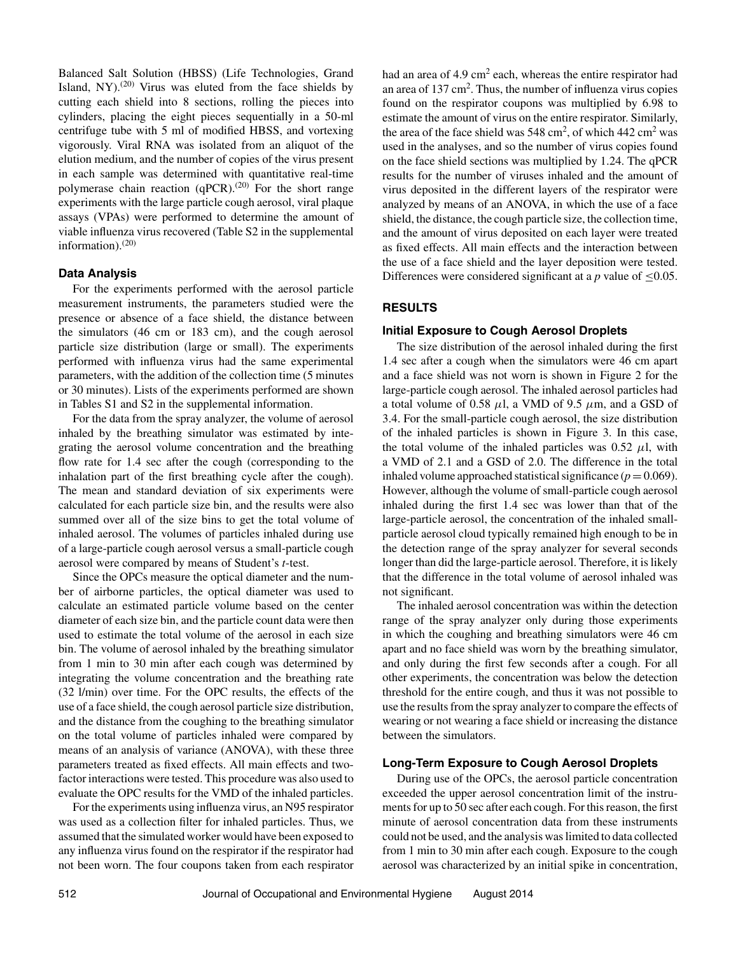Balanced Salt Solution (HBSS) (Life Technologies, Grand Island,  $NY$ ).<sup>(20)</sup> Virus was eluted from the face shields by cutting each shield into 8 sections, rolling the pieces into cylinders, placing the eight pieces sequentially in a 50-ml centrifuge tube with 5 ml of modified HBSS, and vortexing vigorously. Viral RNA was isolated from an aliquot of the elution medium, and the number of copies of the virus present in each sample was determined with quantitative real-time polymerase chain reaction  $(qPCR)$ .<sup>(20)</sup> For the short range experiments with the large particle cough aerosol, viral plaque assays (VPAs) were performed to determine the amount of viable influenza virus recovered (Table S2 in the supplemental information). $(20)$ 

#### **Data Analysis**

For the experiments performed with the aerosol particle measurement instruments, the parameters studied were the presence or absence of a face shield, the distance between the simulators (46 cm or 183 cm), and the cough aerosol particle size distribution (large or small). The experiments performed with influenza virus had the same experimental parameters, with the addition of the collection time (5 minutes or 30 minutes). Lists of the experiments performed are shown in Tables S1 and S2 in the supplemental information.

For the data from the spray analyzer, the volume of aerosol inhaled by the breathing simulator was estimated by integrating the aerosol volume concentration and the breathing flow rate for 1.4 sec after the cough (corresponding to the inhalation part of the first breathing cycle after the cough). The mean and standard deviation of six experiments were calculated for each particle size bin, and the results were also summed over all of the size bins to get the total volume of inhaled aerosol. The volumes of particles inhaled during use of a large-particle cough aerosol versus a small-particle cough aerosol were compared by means of Student's *t*-test.

Since the OPCs measure the optical diameter and the number of airborne particles, the optical diameter was used to calculate an estimated particle volume based on the center diameter of each size bin, and the particle count data were then used to estimate the total volume of the aerosol in each size bin. The volume of aerosol inhaled by the breathing simulator from 1 min to 30 min after each cough was determined by integrating the volume concentration and the breathing rate (32 l/min) over time. For the OPC results, the effects of the use of a face shield, the cough aerosol particle size distribution, and the distance from the coughing to the breathing simulator on the total volume of particles inhaled were compared by means of an analysis of variance (ANOVA), with these three parameters treated as fixed effects. All main effects and twofactor interactions were tested. This procedure was also used to evaluate the OPC results for the VMD of the inhaled particles.

For the experiments using influenza virus, an N95 respirator was used as a collection filter for inhaled particles. Thus, we assumed that the simulated worker would have been exposed to any influenza virus found on the respirator if the respirator had not been worn. The four coupons taken from each respirator had an area of 4.9 cm<sup>2</sup> each, whereas the entire respirator had an area of  $137 \text{ cm}^2$ . Thus, the number of influenza virus copies found on the respirator coupons was multiplied by 6.98 to estimate the amount of virus on the entire respirator. Similarly, the area of the face shield was  $548 \text{ cm}^2$ , of which  $442 \text{ cm}^2$  was used in the analyses, and so the number of virus copies found on the face shield sections was multiplied by 1.24. The qPCR results for the number of viruses inhaled and the amount of virus deposited in the different layers of the respirator were analyzed by means of an ANOVA, in which the use of a face shield, the distance, the cough particle size, the collection time, and the amount of virus deposited on each layer were treated as fixed effects. All main effects and the interaction between the use of a face shield and the layer deposition were tested. Differences were considered significant at a *p* value of ≤0.05.

#### **RESULTS**

#### **Initial Exposure to Cough Aerosol Droplets**

The size distribution of the aerosol inhaled during the first 1.4 sec after a cough when the simulators were 46 cm apart and a face shield was not worn is shown in Figure 2 for the large-particle cough aerosol. The inhaled aerosol particles had a total volume of 0.58  $\mu$ l, a VMD of 9.5  $\mu$ m, and a GSD of 3.4. For the small-particle cough aerosol, the size distribution of the inhaled particles is shown in Figure 3. In this case, the total volume of the inhaled particles was 0.52  $\mu$ l, with a VMD of 2.1 and a GSD of 2.0. The difference in the total inhaled volume approached statistical significance  $(p=0.069)$ . However, although the volume of small-particle cough aerosol inhaled during the first 1.4 sec was lower than that of the large-particle aerosol, the concentration of the inhaled smallparticle aerosol cloud typically remained high enough to be in the detection range of the spray analyzer for several seconds longer than did the large-particle aerosol. Therefore, it is likely that the difference in the total volume of aerosol inhaled was not significant.

The inhaled aerosol concentration was within the detection range of the spray analyzer only during those experiments in which the coughing and breathing simulators were 46 cm apart and no face shield was worn by the breathing simulator, and only during the first few seconds after a cough. For all other experiments, the concentration was below the detection threshold for the entire cough, and thus it was not possible to use the results from the spray analyzer to compare the effects of wearing or not wearing a face shield or increasing the distance between the simulators.

#### **Long-Term Exposure to Cough Aerosol Droplets**

During use of the OPCs, the aerosol particle concentration exceeded the upper aerosol concentration limit of the instruments for up to 50 sec after each cough. For this reason, the first minute of aerosol concentration data from these instruments could not be used, and the analysis was limited to data collected from 1 min to 30 min after each cough. Exposure to the cough aerosol was characterized by an initial spike in concentration,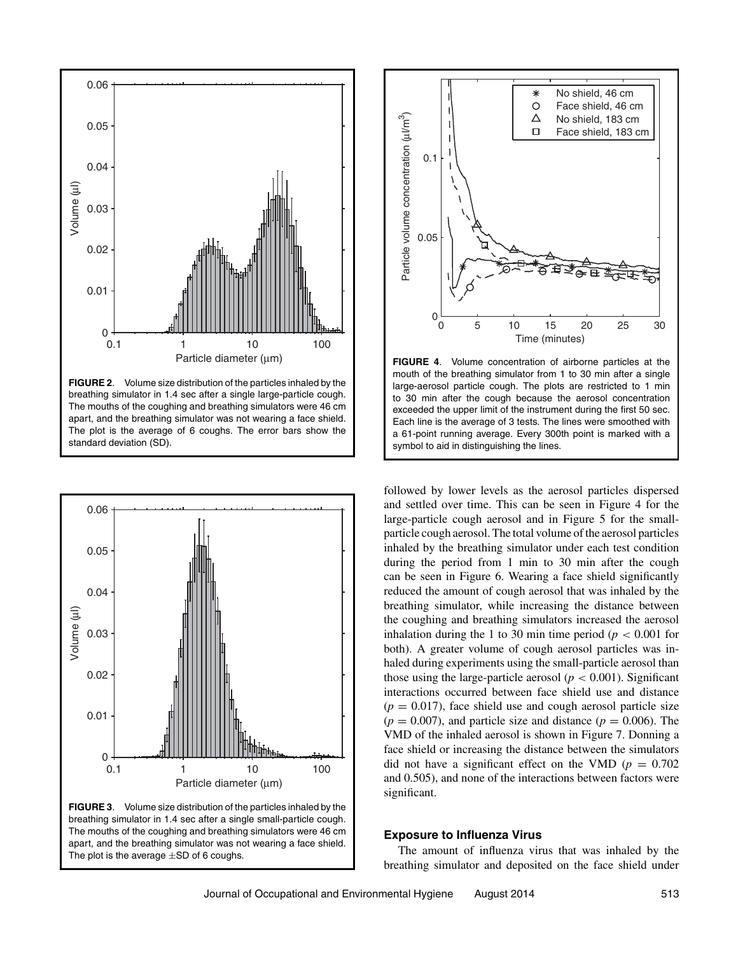

**FIGURE 2**. Volume size distribution of the particles inhaled by the breathing simulator in 1.4 sec after a single large-particle cough. The mouths of the coughing and breathing simulators were 46 cm apart, and the breathing simulator was not wearing a face shield. The plot is the average of 6 coughs. The error bars show the standard deviation (SD).



**FIGURE 3**. Volume size distribution of the particles inhaled by the breathing simulator in 1.4 sec after a single small-particle cough. The mouths of the coughing and breathing simulators were 46 cm apart, and the breathing simulator was not wearing a face shield. The plot is the average  $\pm$ SD of 6 coughs.



**FIGURE 4**. Volume concentration of airborne particles at the mouth of the breathing simulator from 1 to 30 min after a single large-aerosol particle cough. The plots are restricted to 1 min to 30 min after the cough because the aerosol concentration exceeded the upper limit of the instrument during the first 50 sec. Each line is the average of 3 tests. The lines were smoothed with a 61-point running average. Every 300th point is marked with a symbol to aid in distinguishing the lines.

followed by lower levels as the aerosol particles dispersed and settled over time. This can be seen in Figure 4 for the large-particle cough aerosol and in Figure 5 for the smallparticle cough aerosol. The total volume of the aerosol particles inhaled by the breathing simulator under each test condition during the period from 1 min to 30 min after the cough can be seen in Figure 6. Wearing a face shield significantly reduced the amount of cough aerosol that was inhaled by the breathing simulator, while increasing the distance between the coughing and breathing simulators increased the aerosol inhalation during the 1 to 30 min time period ( $p < 0.001$  for both). A greater volume of cough aerosol particles was inhaled during experiments using the small-particle aerosol than those using the large-particle aerosol ( $p < 0.001$ ). Significant interactions occurred between face shield use and distance  $(p = 0.017)$ , face shield use and cough aerosol particle size  $(p = 0.007)$ , and particle size and distance  $(p = 0.006)$ . The VMD of the inhaled aerosol is shown in Figure 7. Donning a face shield or increasing the distance between the simulators did not have a significant effect on the VMD ( $p = 0.702$ ) and 0.505), and none of the interactions between factors were significant.

#### **Exposure to Influenza Virus**

The amount of influenza virus that was inhaled by the breathing simulator and deposited on the face shield under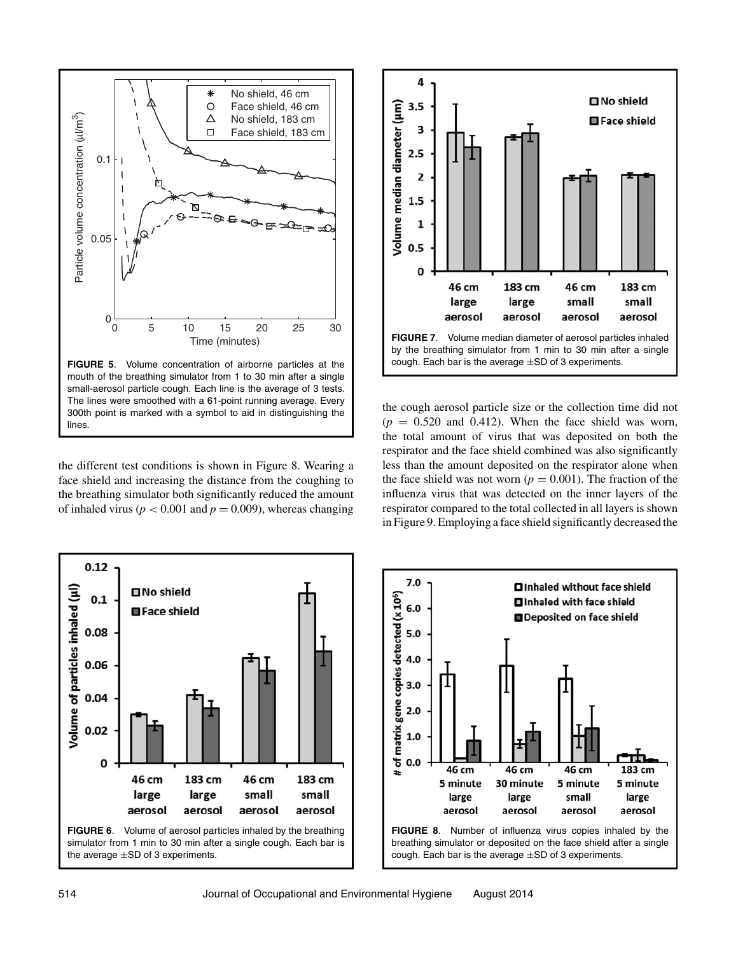

mouth of the breathing simulator from 1 to 30 min after a single small-aerosol particle cough. Each line is the average of 3 tests. The lines were smoothed with a 61-point running average. Every 300th point is marked with a symbol to aid in distinguishing the lines.

the different test conditions is shown in Figure 8. Wearing a face shield and increasing the distance from the coughing to the breathing simulator both significantly reduced the amount of inhaled virus ( $p < 0.001$  and  $p = 0.009$ ), whereas changing





the cough aerosol particle size or the collection time did not  $(p = 0.520$  and 0.412). When the face shield was worn, the total amount of virus that was deposited on both the respirator and the face shield combined was also significantly less than the amount deposited on the respirator alone when the face shield was not worn ( $p = 0.001$ ). The fraction of the influenza virus that was detected on the inner layers of the respirator compared to the total collected in all layers is shown in Figure 9. Employing a face shield significantly decreased the



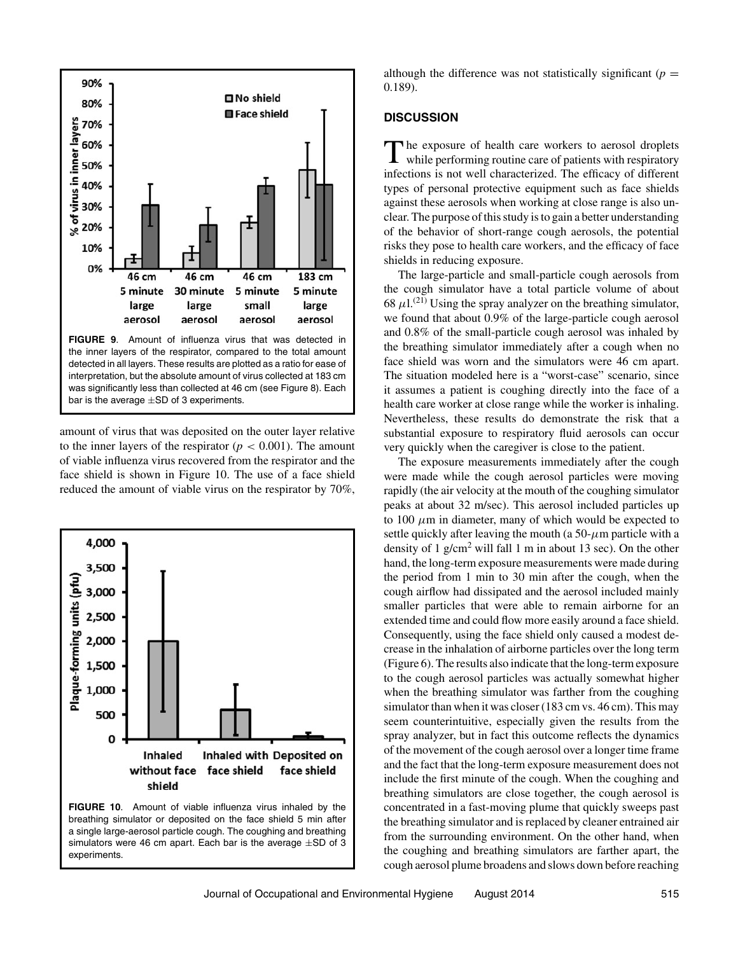

detected in all layers. These results are plotted as a ratio for ease of interpretation, but the absolute amount of virus collected at 183 cm was significantly less than collected at 46 cm (see Figure 8). Each bar is the average  $\pm$ SD of 3 experiments.

amount of virus that was deposited on the outer layer relative to the inner layers of the respirator  $(p < 0.001)$ . The amount of viable influenza virus recovered from the respirator and the face shield is shown in Figure 10. The use of a face shield reduced the amount of viable virus on the respirator by 70%,



**FIGURE 10**. Amount of viable influenza virus inhaled by the breathing simulator or deposited on the face shield 5 min after a single large-aerosol particle cough. The coughing and breathing simulators were 46 cm apart. Each bar is the average  $\pm$ SD of 3 experiments.

although the difference was not statistically significant  $(p =$ 0.189).

### **DISCUSSION**

The exposure of health care workers to aerosol droplets while performing routine care of patients with respiratory infections is not well characterized. The efficacy of different types of personal protective equipment such as face shields against these aerosols when working at close range is also unclear. The purpose of this study is to gain a better understanding of the behavior of short-range cough aerosols, the potential risks they pose to health care workers, and the efficacy of face shields in reducing exposure.

The large-particle and small-particle cough aerosols from the cough simulator have a total particle volume of about 68  $\mu$ 1.<sup>(21)</sup> Using the spray analyzer on the breathing simulator, we found that about 0.9% of the large-particle cough aerosol and 0.8% of the small-particle cough aerosol was inhaled by the breathing simulator immediately after a cough when no face shield was worn and the simulators were 46 cm apart. The situation modeled here is a "worst-case" scenario, since it assumes a patient is coughing directly into the face of a health care worker at close range while the worker is inhaling. Nevertheless, these results do demonstrate the risk that a substantial exposure to respiratory fluid aerosols can occur very quickly when the caregiver is close to the patient.

The exposure measurements immediately after the cough were made while the cough aerosol particles were moving rapidly (the air velocity at the mouth of the coughing simulator peaks at about 32 m/sec). This aerosol included particles up to 100  $\mu$ m in diameter, many of which would be expected to settle quickly after leaving the mouth (a  $50-\mu$ m particle with a density of 1 g/cm<sup>2</sup> will fall 1 m in about 13 sec). On the other hand, the long-term exposure measurements were made during the period from 1 min to 30 min after the cough, when the cough airflow had dissipated and the aerosol included mainly smaller particles that were able to remain airborne for an extended time and could flow more easily around a face shield. Consequently, using the face shield only caused a modest decrease in the inhalation of airborne particles over the long term (Figure 6). The results also indicate that the long-term exposure to the cough aerosol particles was actually somewhat higher when the breathing simulator was farther from the coughing simulator than when it was closer (183 cm vs. 46 cm). This may seem counterintuitive, especially given the results from the spray analyzer, but in fact this outcome reflects the dynamics of the movement of the cough aerosol over a longer time frame and the fact that the long-term exposure measurement does not include the first minute of the cough. When the coughing and breathing simulators are close together, the cough aerosol is concentrated in a fast-moving plume that quickly sweeps past the breathing simulator and is replaced by cleaner entrained air from the surrounding environment. On the other hand, when the coughing and breathing simulators are farther apart, the cough aerosol plume broadens and slows down before reaching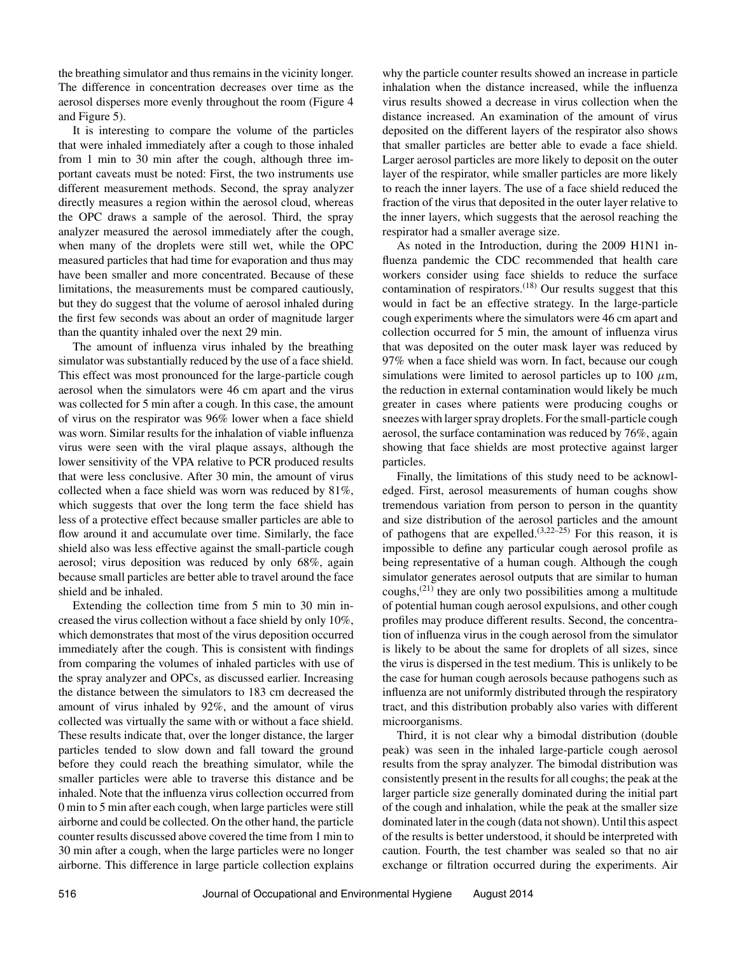the breathing simulator and thus remains in the vicinity longer. The difference in concentration decreases over time as the aerosol disperses more evenly throughout the room (Figure 4 and Figure 5).

It is interesting to compare the volume of the particles that were inhaled immediately after a cough to those inhaled from 1 min to 30 min after the cough, although three important caveats must be noted: First, the two instruments use different measurement methods. Second, the spray analyzer directly measures a region within the aerosol cloud, whereas the OPC draws a sample of the aerosol. Third, the spray analyzer measured the aerosol immediately after the cough, when many of the droplets were still wet, while the OPC measured particles that had time for evaporation and thus may have been smaller and more concentrated. Because of these limitations, the measurements must be compared cautiously, but they do suggest that the volume of aerosol inhaled during the first few seconds was about an order of magnitude larger than the quantity inhaled over the next 29 min.

The amount of influenza virus inhaled by the breathing simulator was substantially reduced by the use of a face shield. This effect was most pronounced for the large-particle cough aerosol when the simulators were 46 cm apart and the virus was collected for 5 min after a cough. In this case, the amount of virus on the respirator was 96% lower when a face shield was worn. Similar results for the inhalation of viable influenza virus were seen with the viral plaque assays, although the lower sensitivity of the VPA relative to PCR produced results that were less conclusive. After 30 min, the amount of virus collected when a face shield was worn was reduced by 81%, which suggests that over the long term the face shield has less of a protective effect because smaller particles are able to flow around it and accumulate over time. Similarly, the face shield also was less effective against the small-particle cough aerosol; virus deposition was reduced by only 68%, again because small particles are better able to travel around the face shield and be inhaled.

Extending the collection time from 5 min to 30 min increased the virus collection without a face shield by only 10%, which demonstrates that most of the virus deposition occurred immediately after the cough. This is consistent with findings from comparing the volumes of inhaled particles with use of the spray analyzer and OPCs, as discussed earlier. Increasing the distance between the simulators to 183 cm decreased the amount of virus inhaled by 92%, and the amount of virus collected was virtually the same with or without a face shield. These results indicate that, over the longer distance, the larger particles tended to slow down and fall toward the ground before they could reach the breathing simulator, while the smaller particles were able to traverse this distance and be inhaled. Note that the influenza virus collection occurred from 0 min to 5 min after each cough, when large particles were still airborne and could be collected. On the other hand, the particle counter results discussed above covered the time from 1 min to 30 min after a cough, when the large particles were no longer airborne. This difference in large particle collection explains

why the particle counter results showed an increase in particle inhalation when the distance increased, while the influenza virus results showed a decrease in virus collection when the distance increased. An examination of the amount of virus deposited on the different layers of the respirator also shows that smaller particles are better able to evade a face shield. Larger aerosol particles are more likely to deposit on the outer layer of the respirator, while smaller particles are more likely to reach the inner layers. The use of a face shield reduced the fraction of the virus that deposited in the outer layer relative to the inner layers, which suggests that the aerosol reaching the respirator had a smaller average size.

As noted in the Introduction, during the 2009 H1N1 influenza pandemic the CDC recommended that health care workers consider using face shields to reduce the surface contamination of respirators. $(18)$  Our results suggest that this would in fact be an effective strategy. In the large-particle cough experiments where the simulators were 46 cm apart and collection occurred for 5 min, the amount of influenza virus that was deposited on the outer mask layer was reduced by 97% when a face shield was worn. In fact, because our cough simulations were limited to aerosol particles up to 100  $\mu$ m, the reduction in external contamination would likely be much greater in cases where patients were producing coughs or sneezes with larger spray droplets. For the small-particle cough aerosol, the surface contamination was reduced by 76%, again showing that face shields are most protective against larger particles.

Finally, the limitations of this study need to be acknowledged. First, aerosol measurements of human coughs show tremendous variation from person to person in the quantity and size distribution of the aerosol particles and the amount of pathogens that are expelled.<sup> $(3,22-25)$ </sup> For this reason, it is impossible to define any particular cough aerosol profile as being representative of a human cough. Although the cough simulator generates aerosol outputs that are similar to human coughs, $(21)$  they are only two possibilities among a multitude of potential human cough aerosol expulsions, and other cough profiles may produce different results. Second, the concentration of influenza virus in the cough aerosol from the simulator is likely to be about the same for droplets of all sizes, since the virus is dispersed in the test medium. This is unlikely to be the case for human cough aerosols because pathogens such as influenza are not uniformly distributed through the respiratory tract, and this distribution probably also varies with different microorganisms.

Third, it is not clear why a bimodal distribution (double peak) was seen in the inhaled large-particle cough aerosol results from the spray analyzer. The bimodal distribution was consistently present in the results for all coughs; the peak at the larger particle size generally dominated during the initial part of the cough and inhalation, while the peak at the smaller size dominated later in the cough (data not shown). Until this aspect of the results is better understood, it should be interpreted with caution. Fourth, the test chamber was sealed so that no air exchange or filtration occurred during the experiments. Air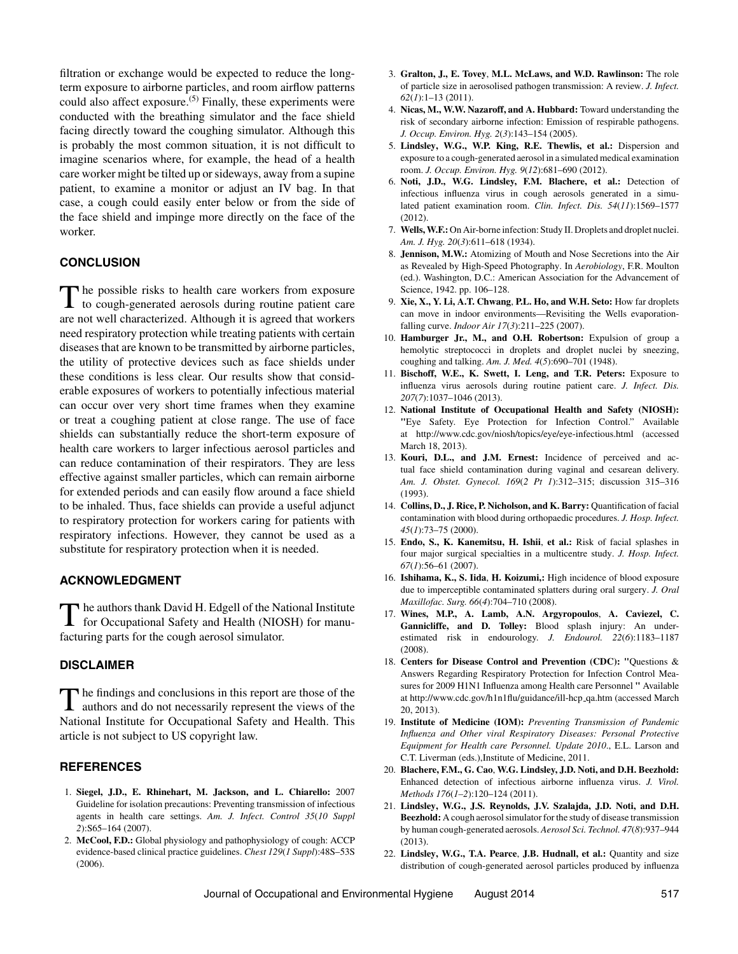filtration or exchange would be expected to reduce the longterm exposure to airborne particles, and room airflow patterns could also affect exposure.<sup> $(5)$ </sup> Finally, these experiments were conducted with the breathing simulator and the face shield facing directly toward the coughing simulator. Although this is probably the most common situation, it is not difficult to imagine scenarios where, for example, the head of a health care worker might be tilted up or sideways, away from a supine patient, to examine a monitor or adjust an IV bag. In that case, a cough could easily enter below or from the side of the face shield and impinge more directly on the face of the worker.

#### **CONCLUSION**

The possible risks to health care workers from exposure to cough-generated aerosols during routine patient care are not well characterized. Although it is agreed that workers need respiratory protection while treating patients with certain diseases that are known to be transmitted by airborne particles, the utility of protective devices such as face shields under these conditions is less clear. Our results show that considerable exposures of workers to potentially infectious material can occur over very short time frames when they examine or treat a coughing patient at close range. The use of face shields can substantially reduce the short-term exposure of health care workers to larger infectious aerosol particles and can reduce contamination of their respirators. They are less effective against smaller particles, which can remain airborne for extended periods and can easily flow around a face shield to be inhaled. Thus, face shields can provide a useful adjunct to respiratory protection for workers caring for patients with respiratory infections. However, they cannot be used as a substitute for respiratory protection when it is needed.

## **ACKNOWLEDGMENT**

The authors thank David H. Edgell of the National Institute<br>for Occupational Safety and Health (NIOSH) for manufacturing parts for the cough aerosol simulator.

### **DISCLAIMER**

The findings and conclusions in this report are those of the authors and do not necessarily represent the views of the National Institute for Occupational Safety and Health. This article is not subject to US copyright law.

#### **REFERENCES**

- 1. **Siegel, J.D., E. Rhinehart, M. Jackson, and L. Chiarello:** 2007 Guideline for isolation precautions: Preventing transmission of infectious agents in health care settings. *Am. J. Infect. Control 35*(*10 Suppl 2*):S65–164 (2007).
- 2. **McCool, F.D.:** Global physiology and pathophysiology of cough: ACCP evidence-based clinical practice guidelines. *Chest 129*(*1 Suppl*):48S–53S (2006).
- 3. **Gralton, J., E. Tovey**, **M.L. McLaws, and W.D. Rawlinson:** The role of particle size in aerosolised pathogen transmission: A review. *J. Infect. 62*(*1*):1–13 (2011).
- 4. **Nicas, M., W.W. Nazaroff, and A. Hubbard:** Toward understanding the risk of secondary airborne infection: Emission of respirable pathogens. *J. Occup. Environ. Hyg. 2*(*3*):143–154 (2005).
- 5. **Lindsley, W.G., W.P. King, R.E. Thewlis, et al.:** Dispersion and exposure to a cough-generated aerosol in a simulated medical examination room. *J. Occup. Environ. Hyg. 9*(*12*):681–690 (2012).
- 6. **Noti, J.D., W.G. Lindsley, F.M. Blachere, et al.:** Detection of infectious influenza virus in cough aerosols generated in a simulated patient examination room. *Clin. Infect. Dis. 54*(*11*):1569–1577 (2012).
- 7. **Wells,W.F.:** On Air-borne infection: Study II. Droplets and droplet nuclei. *Am. J. Hyg. 20*(*3*):611–618 (1934).
- 8. **Jennison, M.W.:** Atomizing of Mouth and Nose Secretions into the Air as Revealed by High-Speed Photography. In *Aerobiology*, F.R. Moulton (ed.). Washington, D.C.: American Association for the Advancement of Science, 1942. pp. 106–128.
- 9. **Xie, X., Y. Li, A.T. Chwang**, **P.L. Ho, and W.H. Seto:** How far droplets can move in indoor environments—Revisiting the Wells evaporationfalling curve. *Indoor Air 17*(*3*):211–225 (2007).
- 10. **Hamburger Jr., M., and O.H. Robertson:** Expulsion of group a hemolytic streptococci in droplets and droplet nuclei by sneezing, coughing and talking. *Am. J. Med. 4*(*5*):690–701 (1948).
- 11. **Bischoff, W.E., K. Swett, I. Leng, and T.R. Peters:** Exposure to influenza virus aerosols during routine patient care. *J. Infect. Dis. 207*(*7*):1037–1046 (2013).
- 12. **National Institute of Occupational Health and Safety (NIOSH): "**Eye Safety. Eye Protection for Infection Control." Available at http://www.cdc.gov/niosh/topics/eye/eye-infectious.html (accessed March 18, 2013).
- 13. **Kouri, D.L., and J.M. Ernest:** Incidence of perceived and actual face shield contamination during vaginal and cesarean delivery. *Am. J. Obstet. Gynecol. 169*(*2 Pt 1*):312–315; discussion 315–316 (1993).
- 14. **Collins, D., J. Rice, P. Nicholson, and K. Barry:** Quantification of facial contamination with blood during orthopaedic procedures. *J. Hosp. Infect. 45*(*1*):73–75 (2000).
- 15. **Endo, S., K. Kanemitsu, H. Ishii**, **et al.:** Risk of facial splashes in four major surgical specialties in a multicentre study. *J. Hosp. Infect. 67*(*1*):56–61 (2007).
- 16. **Ishihama, K., S. Iida**, **H. Koizumi,:** High incidence of blood exposure due to imperceptible contaminated splatters during oral surgery. *J. Oral Maxillofac. Surg. 66*(*4*):704–710 (2008).
- 17. **Wines, M.P., A. Lamb, A.N. Argyropoulos**, **A. Caviezel, C. Gannicliffe, and D. Tolley:** Blood splash injury: An underestimated risk in endourology. *J. Endourol. 22*(*6*):1183–1187 (2008).
- 18. **Centers for Disease Control and Prevention (CDC): "**Questions & Answers Regarding Respiratory Protection for Infection Control Measures for 2009 H1N1 Influenza among Health care Personnel **"** Available at http://www.cdc.gov/h1n1flu/guidance/ill-hcp qa.htm (accessed March 20, 2013).
- 19. **Institute of Medicine (IOM):** *Preventing Transmission of Pandemic Influenza and Other viral Respiratory Diseases: Personal Protective Equipment for Health care Personnel. Update 2010*., E.L. Larson and C.T. Liverman (eds.),Institute of Medicine, 2011.
- 20. **Blachere, F.M., G. Cao**, **W.G. Lindsley, J.D. Noti, and D.H. Beezhold:** Enhanced detection of infectious airborne influenza virus. *J. Virol. Methods 176*(*1–2*):120–124 (2011).
- 21. **Lindsley, W.G., J.S. Reynolds, J.V. Szalajda, J.D. Noti, and D.H. Beezhold:** A cough aerosol simulator for the study of disease transmission by human cough-generated aerosols. *Aerosol Sci. Technol. 47*(*8*):937–944 (2013).
- 22. **Lindsley, W.G., T.A. Pearce**, **J.B. Hudnall, et al.:** Quantity and size distribution of cough-generated aerosol particles produced by influenza